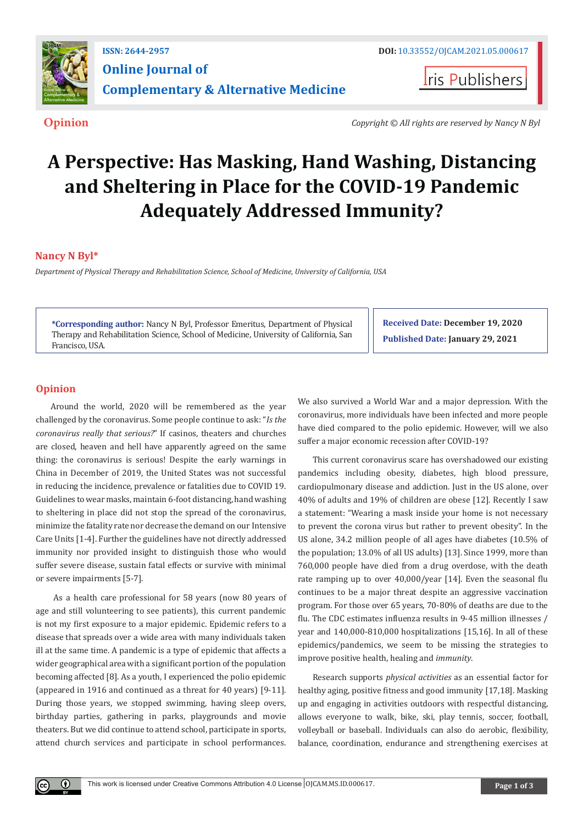

**Iris Publishers** 

**Opinion** *Copyright © All rights are reserved by Nancy N Byl*

# **A Perspective: Has Masking, Hand Washing, Distancing and Sheltering in Place for the COVID-19 Pandemic Adequately Addressed Immunity?**

# **Nancy N Byl\***

*Department of Physical Therapy and Rehabilitation Science, School of Medicine, University of California, USA*

**\*Corresponding author:** Nancy N Byl, Professor Emeritus, Department of Physical Therapy and Rehabilitation Science, School of Medicine, University of California, San Francisco, USA.

**Received Date: December 19, 2020 Published Date: January 29, 2021**

## **Opinion**

 $\bf{0}$ 

Around the world, 2020 will be remembered as the year challenged by the coronavirus. Some people continue to ask: "*Is the coronavirus really that serious?*" If casinos, theaters and churches are closed, heaven and hell have apparently agreed on the same thing: the coronavirus is serious! Despite the early warnings in China in December of 2019, the United States was not successful in reducing the incidence, prevalence or fatalities due to COVID 19. Guidelines to wear masks, maintain 6-foot distancing, hand washing to sheltering in place did not stop the spread of the coronavirus, minimize the fatality rate nor decrease the demand on our Intensive Care Units [1-4]. Further the guidelines have not directly addressed immunity nor provided insight to distinguish those who would suffer severe disease, sustain fatal effects or survive with minimal or severe impairments [5-7].

 As a health care professional for 58 years (now 80 years of age and still volunteering to see patients), this current pandemic is not my first exposure to a major epidemic. Epidemic refers to a disease that spreads over a wide area with many individuals taken ill at the same time. A pandemic is a type of epidemic that affects a wider geographical area with a significant portion of the population becoming affected [8]. As a youth, I experienced the polio epidemic (appeared in 1916 and continued as a threat for 40 years) [9-11]. During those years, we stopped swimming, having sleep overs, birthday parties, gathering in parks, playgrounds and movie theaters. But we did continue to attend school, participate in sports, attend church services and participate in school performances.

We also survived a World War and a major depression. With the coronavirus, more individuals have been infected and more people have died compared to the polio epidemic. However, will we also suffer a major economic recession after COVID-19?

This current coronavirus scare has overshadowed our existing pandemics including obesity, diabetes, high blood pressure, cardiopulmonary disease and addiction. Just in the US alone, over 40% of adults and 19% of children are obese [12]. Recently I saw a statement: "Wearing a mask inside your home is not necessary to prevent the corona virus but rather to prevent obesity". In the US alone, 34.2 million people of all ages have diabetes (10.5% of the population; 13.0% of all US adults) [13]. Since 1999, more than 760,000 people have died from a drug overdose, with the death rate ramping up to over 40,000/year [14]. Even the seasonal flu continues to be a major threat despite an aggressive vaccination program. For those over 65 years, 70-80% of deaths are due to the flu. The CDC estimates influenza results in 9-45 million illnesses / year and 140,000-810,000 hospitalizations [15,16]. In all of these epidemics/pandemics, we seem to be missing the strategies to improve positive health, healing and *immunity*.

Research supports *physical activities* as an essential factor for healthy aging, positive fitness and good immunity [17,18]. Masking up and engaging in activities outdoors with respectful distancing, allows everyone to walk, bike, ski, play tennis, soccer, football, volleyball or baseball. Individuals can also do aerobic, flexibility, balance, coordination, endurance and strengthening exercises at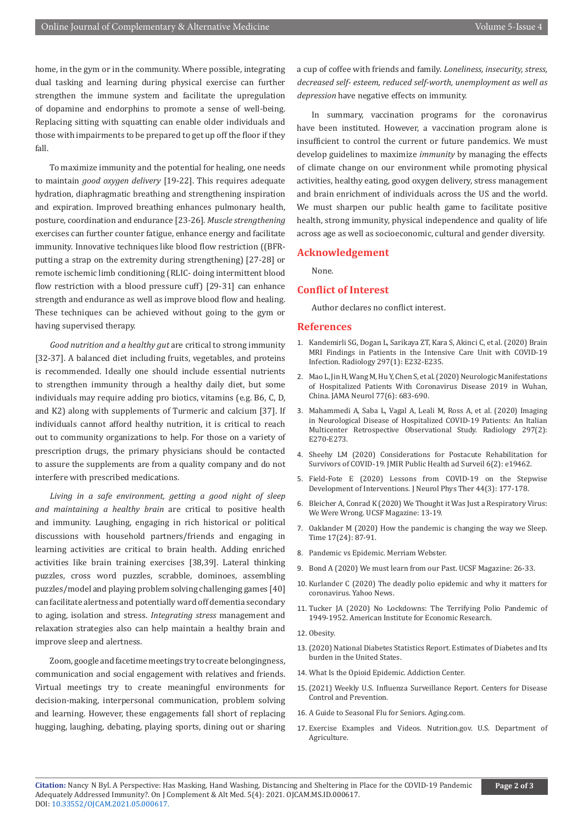home, in the gym or in the community. Where possible, integrating dual tasking and learning during physical exercise can further strengthen the immune system and facilitate the upregulation of dopamine and endorphins to promote a sense of well-being. Replacing sitting with squatting can enable older individuals and those with impairments to be prepared to get up off the floor if they fall.

To maximize immunity and the potential for healing, one needs to maintain *good oxygen delivery* [19-22]. This requires adequate hydration, diaphragmatic breathing and strengthening inspiration and expiration. Improved breathing enhances pulmonary health, posture, coordination and endurance [23-26]. *Muscle strengthening* exercises can further counter fatigue, enhance energy and facilitate immunity. Innovative techniques like blood flow restriction ((BFRputting a strap on the extremity during strengthening) [27-28] or remote ischemic limb conditioning (RLIC- doing intermittent blood flow restriction with a blood pressure cuff) [29-31] can enhance strength and endurance as well as improve blood flow and healing. These techniques can be achieved without going to the gym or having supervised therapy.

*Good nutrition and a healthy gut* are critical to strong immunity [32-37]. A balanced diet including fruits, vegetables, and proteins is recommended. Ideally one should include essential nutrients to strengthen immunity through a healthy daily diet, but some individuals may require adding pro biotics, vitamins (e.g. B6, C, D, and K2) along with supplements of Turmeric and calcium [37]. If individuals cannot afford healthy nutrition, it is critical to reach out to community organizations to help. For those on a variety of prescription drugs, the primary physicians should be contacted to assure the supplements are from a quality company and do not interfere with prescribed medications.

*Living in a safe environment, getting a good night of sleep and maintaining a healthy brain* are critical to positive health and immunity. Laughing, engaging in rich historical or political discussions with household partners/friends and engaging in learning activities are critical to brain health. Adding enriched activities like brain training exercises [38,39]. Lateral thinking puzzles, cross word puzzles, scrabble, dominoes, assembling puzzles/model and playing problem solving challenging games [40] can facilitate alertness and potentially ward off dementia secondary to aging, isolation and stress. *Integrating stress* management and relaxation strategies also can help maintain a healthy brain and improve sleep and alertness.

Zoom, google and facetime meetings try to create belongingness, communication and social engagement with relatives and friends. Virtual meetings try to create meaningful environments for decision-making, interpersonal communication, problem solving and learning. However, these engagements fall short of replacing hugging, laughing, debating, playing sports, dining out or sharing a cup of coffee with friends and family. *Loneliness, insecurity, stress, decreased self- esteem, reduced self-worth, unemployment as well as depression* have negative effects on immunity.

In summary, vaccination programs for the coronavirus have been instituted. However, a vaccination program alone is insufficient to control the current or future pandemics. We must develop guidelines to maximize *immunity* by managing the effects of climate change on our environment while promoting physical activities, healthy eating, good oxygen delivery, stress management and brain enrichment of individuals across the US and the world. We must sharpen our public health game to facilitate positive health, strong immunity, physical independence and quality of life across age as well as socioeconomic, cultural and gender diversity.

### **Acknowledgement**

None.

#### **Conflict of Interest**

Author declares no conflict interest.

#### **References**

- 1. [Kandemirli SG, Dogan L, Sarikaya ZT, Kara S, Akinci C, et al. \(2020\) Brain](https://pubmed.ncbi.nlm.nih.gov/32384020/) [MRI Findings in Patients in the Intensive Care Unit with COVID-19](https://pubmed.ncbi.nlm.nih.gov/32384020/) [Infection. Radiology 297\(1\): E232-E235.](https://pubmed.ncbi.nlm.nih.gov/32384020/)
- 2. [Mao L, Jin H, Wang M, Hu Y, Chen S, et al. \(2020\) Neurologic Manifestations](https://pubmed.ncbi.nlm.nih.gov/32275288/) [of Hospitalized Patients With Coronavirus Disease 2019 in Wuhan,](https://pubmed.ncbi.nlm.nih.gov/32275288/) [China. JAMA Neurol 77\(6\): 683-690.](https://pubmed.ncbi.nlm.nih.gov/32275288/)
- 3. [Mahammedi A, Saba L, Vagal A, Leali M, Ross A, et al. \(2020\) Imaging](https://pubmed.ncbi.nlm.nih.gov/32437313/) [in Neurological Disease of Hospitalized COVID-19 Patients: An Italian](https://pubmed.ncbi.nlm.nih.gov/32437313/) [Multicenter Retrospective Observational Study. Radiology 297\(2\):](https://pubmed.ncbi.nlm.nih.gov/32437313/) [E270-E273.](https://pubmed.ncbi.nlm.nih.gov/32437313/)
- 4. [Sheehy LM \(2020\) Considerations for Postacute Rehabilitation for](https://pubmed.ncbi.nlm.nih.gov/32369030/) [Survivors of COVID-19. JMIR Public Health ad Surveil 6\(2\): e19462.](https://pubmed.ncbi.nlm.nih.gov/32369030/)
- 5. [Field-Fote E \(2020\) Lessons from COVID-19 on the Stepwise](https://pubmed.ncbi.nlm.nih.gov/32427640/) [Development of Interventions. J Neurol Phys Ther 44\(3\): 177-178.](https://pubmed.ncbi.nlm.nih.gov/32427640/)
- 6. [Bleicher A, Conrad K \(2020\) We Thought it Was Just a Respiratory Virus:](https://www.ucsf.edu/magazine/covid-body) [We Were Wrong. UCSF Magazine: 13-19.](https://www.ucsf.edu/magazine/covid-body)
- 7. Oaklander M (2020) How the pandemic is changing the way we Sleep. Time 17(24): 87-91.
- 8. Pandemic vs Epidemic. Merriam Webster.
- 9. [Bond A \(2020\) We must learn from our Past. UCSF Magazine: 26-33.](https://www.ucsf.edu/magazine/covid-past-pandemics)
- 10. [Kurlander C \(2020\) The deadly polio epidemic and why it matters for](https://news.yahoo.com/deadly-polio-epidemic-why-matters-122730886.html) [coronavirus. Yahoo News.](https://news.yahoo.com/deadly-polio-epidemic-why-matters-122730886.html)
- 11. [Tucker JA \(2020\) No Lockdowns: The Terrifying Polio Pandemic of](https://www.aier.org/article/no-lockdowns-the-terrifying-polio-pandemic-of-1949-52/) [1949-1952. American Institute for Economic Research.](https://www.aier.org/article/no-lockdowns-the-terrifying-polio-pandemic-of-1949-52/)
- 12. [Obesity.](https://www.niddk.nih.gov/about-niddk/research-areas/obesity)
- 13. [\(2020\) National Diabetes Statistics Report. Estimates of Diabetes and Its](https://www.cdc.gov/diabetes/pdfs/data/statistics/national-diabetes-statistics-report.pdf) [burden in the United States.](https://www.cdc.gov/diabetes/pdfs/data/statistics/national-diabetes-statistics-report.pdf)
- 14. [What Is the Opioid Epidemic. Addiction Center.](https://www.addictioncenter.com/opiates/opioid-epidemic/)
- 15. [\(2021\) Weekly U.S. Influenza Surveillance Report. Centers for Disease](https://www.cdc.gov/flu/weekly/index.htm) [Control and Prevention.](https://www.cdc.gov/flu/weekly/index.htm)
- 16. A Guide to Seasonal Flu for Seniors. Aging.com.
- 17. [Exercise Examples and Videos. Nutrition.gov. U.S. Department of](https://www.nutrition.gov/topics/exercise-and-fitness/exercise-examples-and-videos) [Agriculture.](https://www.nutrition.gov/topics/exercise-and-fitness/exercise-examples-and-videos)